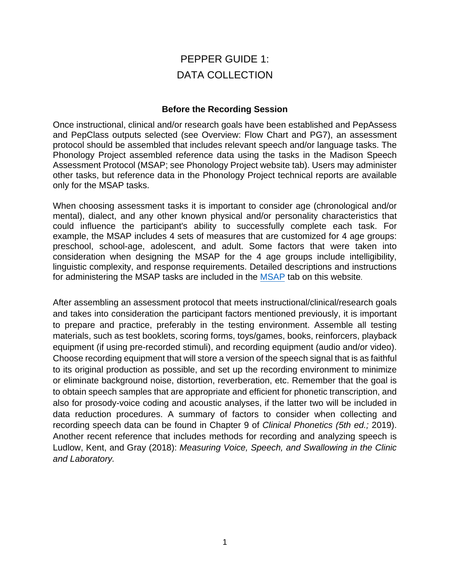# PEPPER GUIDE 1: DATA COLLECTION

#### **Before the Recording Session**

Once instructional, clinical and/or research goals have been established and PepAssess and PepClass outputs selected (see Overview: Flow Chart and PG7), an assessment protocol should be assembled that includes relevant speech and/or language tasks. The Phonology Project assembled reference data using the tasks in the Madison Speech Assessment Protocol (MSAP; see Phonology Project website tab). Users may administer other tasks, but reference data in the Phonology Project technical reports are available only for the MSAP tasks.

When choosing assessment tasks it is important to consider age (chronological and/or mental), dialect, and any other known physical and/or personality characteristics that could influence the participant's ability to successfully complete each task. For example, the MSAP includes 4 sets of measures that are customized for 4 age groups: preschool, school-age, adolescent, and adult. Some factors that were taken into consideration when designing the MSAP for the 4 age groups include intelligibility, linguistic complexity, and response requirements. Detailed descriptions and instructions for administering the MSAP tasks are included in the [MSAP](https://phonology.waisman.wisc.edu/procedures-and-stimuli-for-speech-measures/) tab on this website.

After assembling an assessment protocol that meets instructional/clinical/research goals and takes into consideration the participant factors mentioned previously, it is important to prepare and practice, preferably in the testing environment. Assemble all testing materials, such as test booklets, scoring forms, toys/games, books, reinforcers, playback equipment (if using pre-recorded stimuli), and recording equipment (audio and/or video). Choose recording equipment that will store a version of the speech signal that is as faithful to its original production as possible, and set up the recording environment to minimize or eliminate background noise, distortion, reverberation, etc. Remember that the goal is to obtain speech samples that are appropriate and efficient for phonetic transcription, and also for prosody-voice coding and acoustic analyses, if the latter two will be included in data reduction procedures. A summary of factors to consider when collecting and recording speech data can be found in Chapter 9 of *Clinical Phonetics (5th ed.;* 2019). Another recent reference that includes methods for recording and analyzing speech is Ludlow, Kent, and Gray (2018): *Measuring Voice, Speech, and Swallowing in the Clinic and Laboratory.*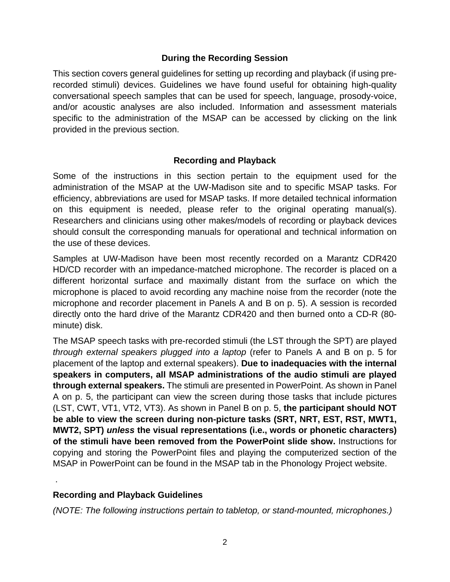### **During the Recording Session**

This section covers general guidelines for setting up recording and playback (if using prerecorded stimuli) devices. Guidelines we have found useful for obtaining high-quality conversational speech samples that can be used for speech, language, prosody-voice, and/or acoustic analyses are also included. Information and assessment materials specific to the administration of the MSAP can be accessed by clicking on the link provided in the previous section.

### **Recording and Playback**

Some of the instructions in this section pertain to the equipment used for the administration of the MSAP at the UW-Madison site and to specific MSAP tasks. For efficiency, abbreviations are used for MSAP tasks. If more detailed technical information on this equipment is needed, please refer to the original operating manual(s). Researchers and clinicians using other makes/models of recording or playback devices should consult the corresponding manuals for operational and technical information on the use of these devices.

Samples at UW-Madison have been most recently recorded on a Marantz CDR420 HD/CD recorder with an impedance-matched microphone. The recorder is placed on a different horizontal surface and maximally distant from the surface on which the microphone is placed to avoid recording any machine noise from the recorder (note the microphone and recorder placement in Panels A and B on p. 5). A session is recorded directly onto the hard drive of the Marantz CDR420 and then burned onto a CD-R (80 minute) disk.

The MSAP speech tasks with pre-recorded stimuli (the LST through the SPT) are played *through external speakers plugged into a laptop* (refer to Panels A and B on p. 5 for placement of the laptop and external speakers). **Due to inadequacies with the internal speakers in computers, all MSAP administrations of the audio stimuli are played through external speakers.** The stimuli are presented in PowerPoint. As shown in Panel A on p. 5, the participant can view the screen during those tasks that include pictures (LST, CWT, VT1, VT2, VT3). As shown in Panel B on p. 5, **the participant should NOT be able to view the screen during non-picture tasks (SRT, NRT, EST, RST, MWT1, MWT2, SPT)** *unless* **the visual representations (i.e., words or phonetic characters) of the stimuli have been removed from the PowerPoint slide show.** Instructions for copying and storing the PowerPoint files and playing the computerized section of the MSAP in PowerPoint can be found in the MSAP tab in the Phonology Project website.

## **Recording and Playback Guidelines**

.

*(NOTE: The following instructions pertain to tabletop, or stand-mounted, microphones.)*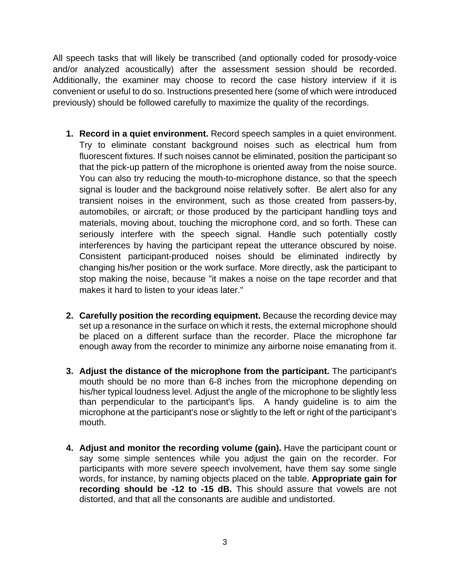All speech tasks that will likely be transcribed (and optionally coded for prosody-voice and/or analyzed acoustically) after the assessment session should be recorded. Additionally, the examiner may choose to record the case history interview if it is convenient or useful to do so. Instructions presented here (some of which were introduced previously) should be followed carefully to maximize the quality of the recordings.

- **1. Record in a quiet environment.** Record speech samples in a quiet environment. Try to eliminate constant background noises such as electrical hum from fluorescent fixtures. If such noises cannot be eliminated, position the participant so that the pick-up pattern of the microphone is oriented away from the noise source. You can also try reducing the mouth-to-microphone distance, so that the speech signal is louder and the background noise relatively softer. Be alert also for any transient noises in the environment, such as those created from passers-by, automobiles, or aircraft; or those produced by the participant handling toys and materials, moving about, touching the microphone cord, and so forth. These can seriously interfere with the speech signal. Handle such potentially costly interferences by having the participant repeat the utterance obscured by noise. Consistent participant-produced noises should be eliminated indirectly by changing his/her position or the work surface. More directly, ask the participant to stop making the noise, because "it makes a noise on the tape recorder and that makes it hard to listen to your ideas later."
- **2. Carefully position the recording equipment.** Because the recording device may set up a resonance in the surface on which it rests, the external microphone should be placed on a different surface than the recorder. Place the microphone far enough away from the recorder to minimize any airborne noise emanating from it.
- **3. Adjust the distance of the microphone from the participant.** The participant's mouth should be no more than 6-8 inches from the microphone depending on his/her typical loudness level. Adjust the angle of the microphone to be slightly less than perpendicular to the participant's lips. A handy guideline is to aim the microphone at the participant's nose or slightly to the left or right of the participant's mouth.
- **4. Adjust and monitor the recording volume (gain).** Have the participant count or say some simple sentences while you adjust the gain on the recorder. For participants with more severe speech involvement, have them say some single words, for instance, by naming objects placed on the table. **Appropriate gain for recording should be -12 to -15 dB.** This should assure that vowels are not distorted, and that all the consonants are audible and undistorted.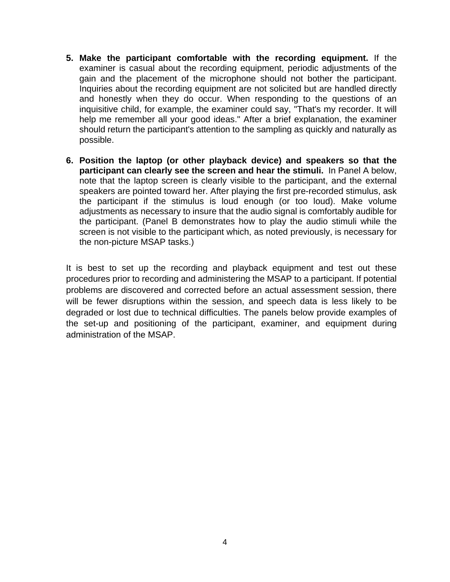- **5. Make the participant comfortable with the recording equipment.** If the examiner is casual about the recording equipment, periodic adjustments of the gain and the placement of the microphone should not bother the participant. Inquiries about the recording equipment are not solicited but are handled directly and honestly when they do occur. When responding to the questions of an inquisitive child, for example, the examiner could say, "That's my recorder. It will help me remember all your good ideas." After a brief explanation, the examiner should return the participant's attention to the sampling as quickly and naturally as possible.
- **6. Position the laptop (or other playback device) and speakers so that the participant can clearly see the screen and hear the stimuli.** In Panel A below, note that the laptop screen is clearly visible to the participant, and the external speakers are pointed toward her. After playing the first pre-recorded stimulus, ask the participant if the stimulus is loud enough (or too loud). Make volume adjustments as necessary to insure that the audio signal is comfortably audible for the participant. (Panel B demonstrates how to play the audio stimuli while the screen is not visible to the participant which, as noted previously, is necessary for the non-picture MSAP tasks.)

It is best to set up the recording and playback equipment and test out these procedures prior to recording and administering the MSAP to a participant. If potential problems are discovered and corrected before an actual assessment session, there will be fewer disruptions within the session, and speech data is less likely to be degraded or lost due to technical difficulties. The panels below provide examples of the set-up and positioning of the participant, examiner, and equipment during administration of the MSAP.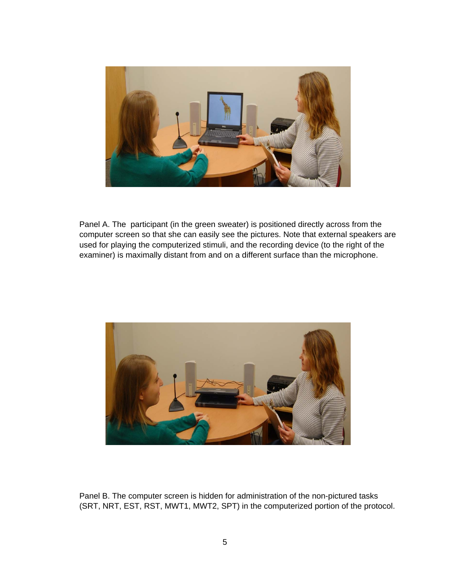

Panel A. The participant (in the green sweater) is positioned directly across from the computer screen so that she can easily see the pictures. Note that external speakers are used for playing the computerized stimuli, and the recording device (to the right of the examiner) is maximally distant from and on a different surface than the microphone.



Panel B. The computer screen is hidden for administration of the non-pictured tasks (SRT, NRT, EST, RST, MWT1, MWT2, SPT) in the computerized portion of the protocol.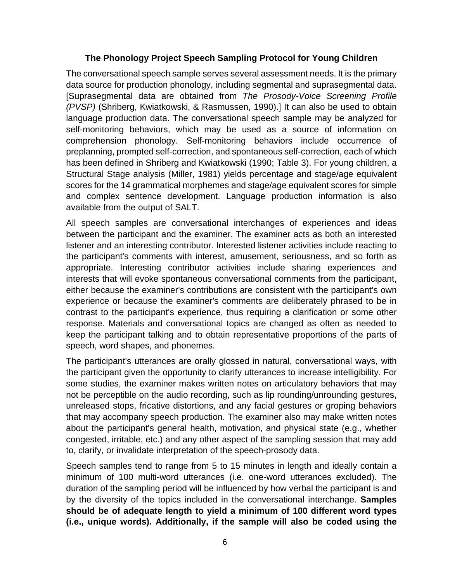### **The Phonology Project Speech Sampling Protocol for Young Children**

The conversational speech sample serves several assessment needs. It is the primary data source for production phonology, including segmental and suprasegmental data. [Suprasegmental data are obtained from *The Prosody-Voice Screening Profile (PVSP)* (Shriberg, Kwiatkowski, & Rasmussen, 1990).] It can also be used to obtain language production data. The conversational speech sample may be analyzed for self-monitoring behaviors, which may be used as a source of information on comprehension phonology. Self-monitoring behaviors include occurrence of preplanning, prompted self-correction, and spontaneous self-correction, each of which has been defined in Shriberg and Kwiatkowski (1990; Table 3). For young children, a Structural Stage analysis (Miller, 1981) yields percentage and stage/age equivalent scores for the 14 grammatical morphemes and stage/age equivalent scores for simple and complex sentence development. Language production information is also available from the output of SALT.

All speech samples are conversational interchanges of experiences and ideas between the participant and the examiner. The examiner acts as both an interested listener and an interesting contributor. Interested listener activities include reacting to the participant's comments with interest, amusement, seriousness, and so forth as appropriate. Interesting contributor activities include sharing experiences and interests that will evoke spontaneous conversational comments from the participant, either because the examiner's contributions are consistent with the participant's own experience or because the examiner's comments are deliberately phrased to be in contrast to the participant's experience, thus requiring a clarification or some other response. Materials and conversational topics are changed as often as needed to keep the participant talking and to obtain representative proportions of the parts of speech, word shapes, and phonemes.

The participant's utterances are orally glossed in natural, conversational ways, with the participant given the opportunity to clarify utterances to increase intelligibility. For some studies, the examiner makes written notes on articulatory behaviors that may not be perceptible on the audio recording, such as lip rounding/unrounding gestures, unreleased stops, fricative distortions, and any facial gestures or groping behaviors that may accompany speech production. The examiner also may make written notes about the participant's general health, motivation, and physical state (e.g., whether congested, irritable, etc.) and any other aspect of the sampling session that may add to, clarify, or invalidate interpretation of the speech-prosody data.

Speech samples tend to range from 5 to 15 minutes in length and ideally contain a minimum of 100 multi-word utterances (i.e. one-word utterances excluded). The duration of the sampling period will be influenced by how verbal the participant is and by the diversity of the topics included in the conversational interchange. **Samples should be of adequate length to yield a minimum of 100 different word types (i.e., unique words). Additionally, if the sample will also be coded using the**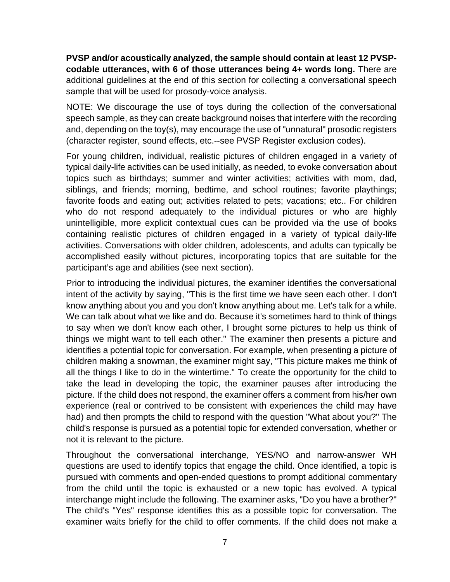**PVSP and/or acoustically analyzed, the sample should contain at least 12 PVSPcodable utterances, with 6 of those utterances being 4+ words long.** There are additional guidelines at the end of this section for collecting a conversational speech sample that will be used for prosody-voice analysis.

NOTE: We discourage the use of toys during the collection of the conversational speech sample, as they can create background noises that interfere with the recording and, depending on the toy(s), may encourage the use of "unnatural" prosodic registers (character register, sound effects, etc.--see PVSP Register exclusion codes).

For young children, individual, realistic pictures of children engaged in a variety of typical daily-life activities can be used initially, as needed, to evoke conversation about topics such as birthdays; summer and winter activities; activities with mom, dad, siblings, and friends; morning, bedtime, and school routines; favorite playthings; favorite foods and eating out; activities related to pets; vacations; etc.. For children who do not respond adequately to the individual pictures or who are highly unintelligible, more explicit contextual cues can be provided via the use of books containing realistic pictures of children engaged in a variety of typical daily-life activities. Conversations with older children, adolescents, and adults can typically be accomplished easily without pictures, incorporating topics that are suitable for the participant's age and abilities (see next section).

Prior to introducing the individual pictures, the examiner identifies the conversational intent of the activity by saying, "This is the first time we have seen each other. I don't know anything about you and you don't know anything about me. Let's talk for a while. We can talk about what we like and do. Because it's sometimes hard to think of things to say when we don't know each other, I brought some pictures to help us think of things we might want to tell each other." The examiner then presents a picture and identifies a potential topic for conversation. For example, when presenting a picture of children making a snowman, the examiner might say, "This picture makes me think of all the things I like to do in the wintertime." To create the opportunity for the child to take the lead in developing the topic, the examiner pauses after introducing the picture. If the child does not respond, the examiner offers a comment from his/her own experience (real or contrived to be consistent with experiences the child may have had) and then prompts the child to respond with the question "What about you?" The child's response is pursued as a potential topic for extended conversation, whether or not it is relevant to the picture.

Throughout the conversational interchange, YES/NO and narrow-answer WH questions are used to identify topics that engage the child. Once identified, a topic is pursued with comments and open-ended questions to prompt additional commentary from the child until the topic is exhausted or a new topic has evolved. A typical interchange might include the following. The examiner asks, "Do you have a brother?" The child's "Yes" response identifies this as a possible topic for conversation. The examiner waits briefly for the child to offer comments. If the child does not make a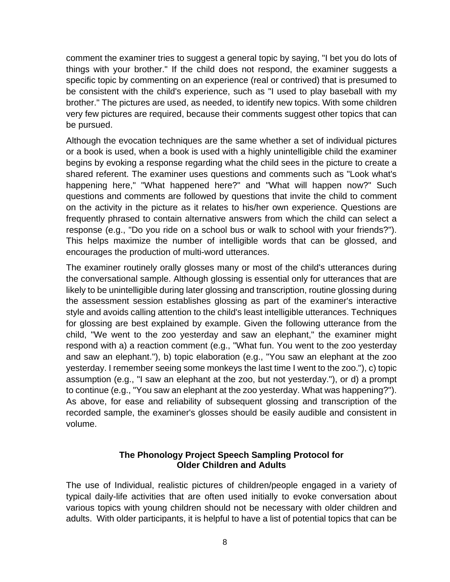comment the examiner tries to suggest a general topic by saying, "I bet you do lots of things with your brother." If the child does not respond, the examiner suggests a specific topic by commenting on an experience (real or contrived) that is presumed to be consistent with the child's experience, such as "I used to play baseball with my brother." The pictures are used, as needed, to identify new topics. With some children very few pictures are required, because their comments suggest other topics that can be pursued.

Although the evocation techniques are the same whether a set of individual pictures or a book is used, when a book is used with a highly unintelligible child the examiner begins by evoking a response regarding what the child sees in the picture to create a shared referent. The examiner uses questions and comments such as "Look what's happening here," "What happened here?" and "What will happen now?" Such questions and comments are followed by questions that invite the child to comment on the activity in the picture as it relates to his/her own experience. Questions are frequently phrased to contain alternative answers from which the child can select a response (e.g., "Do you ride on a school bus or walk to school with your friends?"). This helps maximize the number of intelligible words that can be glossed, and encourages the production of multi-word utterances.

The examiner routinely orally glosses many or most of the child's utterances during the conversational sample. Although glossing is essential only for utterances that are likely to be unintelligible during later glossing and transcription, routine glossing during the assessment session establishes glossing as part of the examiner's interactive style and avoids calling attention to the child's least intelligible utterances. Techniques for glossing are best explained by example. Given the following utterance from the child, "We went to the zoo yesterday and saw an elephant," the examiner might respond with a) a reaction comment (e.g., "What fun. You went to the zoo yesterday and saw an elephant."), b) topic elaboration (e.g., "You saw an elephant at the zoo yesterday. I remember seeing some monkeys the last time I went to the zoo."), c) topic assumption (e.g., "I saw an elephant at the zoo, but not yesterday."), or d) a prompt to continue (e.g., "You saw an elephant at the zoo yesterday. What was happening?"). As above, for ease and reliability of subsequent glossing and transcription of the recorded sample, the examiner's glosses should be easily audible and consistent in volume.

#### **The Phonology Project Speech Sampling Protocol for Older Children and Adults**

The use of Individual, realistic pictures of children/people engaged in a variety of typical daily-life activities that are often used initially to evoke conversation about various topics with young children should not be necessary with older children and adults. With older participants, it is helpful to have a list of potential topics that can be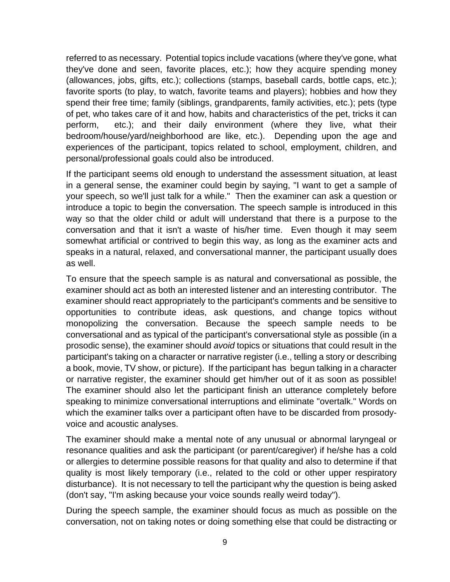referred to as necessary. Potential topics include vacations (where they've gone, what they've done and seen, favorite places, etc.); how they acquire spending money (allowances, jobs, gifts, etc.); collections (stamps, baseball cards, bottle caps, etc.); favorite sports (to play, to watch, favorite teams and players); hobbies and how they spend their free time; family (siblings, grandparents, family activities, etc.); pets (type of pet, who takes care of it and how, habits and characteristics of the pet, tricks it can perform, etc.); and their daily environment (where they live, what their bedroom/house/yard/neighborhood are like, etc.). Depending upon the age and experiences of the participant, topics related to school, employment, children, and personal/professional goals could also be introduced.

If the participant seems old enough to understand the assessment situation, at least in a general sense, the examiner could begin by saying, "I want to get a sample of your speech, so we'll just talk for a while." Then the examiner can ask a question or introduce a topic to begin the conversation. The speech sample is introduced in this way so that the older child or adult will understand that there is a purpose to the conversation and that it isn't a waste of his/her time. Even though it may seem somewhat artificial or contrived to begin this way, as long as the examiner acts and speaks in a natural, relaxed, and conversational manner, the participant usually does as well.

To ensure that the speech sample is as natural and conversational as possible, the examiner should act as both an interested listener and an interesting contributor. The examiner should react appropriately to the participant's comments and be sensitive to opportunities to contribute ideas, ask questions, and change topics without monopolizing the conversation. Because the speech sample needs to be conversational and as typical of the participant's conversational style as possible (in a prosodic sense), the examiner should *avoid* topics or situations that could result in the participant's taking on a character or narrative register (i.e., telling a story or describing a book, movie, TV show, or picture). If the participant has begun talking in a character or narrative register, the examiner should get him/her out of it as soon as possible! The examiner should also let the participant finish an utterance completely before speaking to minimize conversational interruptions and eliminate "overtalk." Words on which the examiner talks over a participant often have to be discarded from prosodyvoice and acoustic analyses.

The examiner should make a mental note of any unusual or abnormal laryngeal or resonance qualities and ask the participant (or parent/caregiver) if he/she has a cold or allergies to determine possible reasons for that quality and also to determine if that quality is most likely temporary (i.e., related to the cold or other upper respiratory disturbance). It is not necessary to tell the participant why the question is being asked (don't say, "I'm asking because your voice sounds really weird today").

During the speech sample, the examiner should focus as much as possible on the conversation, not on taking notes or doing something else that could be distracting or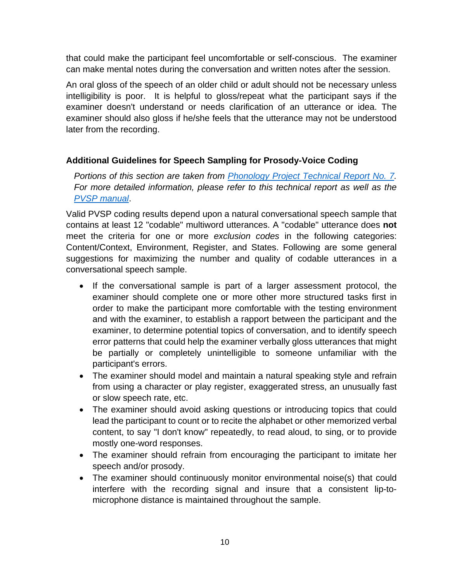that could make the participant feel uncomfortable or self-conscious. The examiner can make mental notes during the conversation and written notes after the session.

An oral gloss of the speech of an older child or adult should not be necessary unless intelligibility is poor. It is helpful to gloss/repeat what the participant says if the examiner doesn't understand or needs clarification of an utterance or idea. The examiner should also gloss if he/she feels that the utterance may not be understood later from the recording.

# **Additional Guidelines for Speech Sampling for Prosody-Voice Coding**

*Portions of this section are taken from [Phonology Project Technical Report No. 7.](https://waismanphonology.wiscweb.wisc.edu/wp-content/uploads/sites/532/2018/05/TREP07.pdf) For more detailed information, please refer to this technical report as well as the [PVSP manual](https://uwmadison.box.com/s/dw2pvjnd0cjxw989e5m4ew019z39elg2)*.

Valid PVSP coding results depend upon a natural conversational speech sample that contains at least 12 "codable" multiword utterances. A "codable" utterance does **not**  meet the criteria for one or more *exclusion codes* in the following categories: Content/Context, Environment, Register, and States. Following are some general suggestions for maximizing the number and quality of codable utterances in a conversational speech sample.

- If the conversational sample is part of a larger assessment protocol, the examiner should complete one or more other more structured tasks first in order to make the participant more comfortable with the testing environment and with the examiner, to establish a rapport between the participant and the examiner, to determine potential topics of conversation, and to identify speech error patterns that could help the examiner verbally gloss utterances that might be partially or completely unintelligible to someone unfamiliar with the participant's errors.
- The examiner should model and maintain a natural speaking style and refrain from using a character or play register, exaggerated stress, an unusually fast or slow speech rate, etc.
- The examiner should avoid asking questions or introducing topics that could lead the participant to count or to recite the alphabet or other memorized verbal content, to say "I don't know" repeatedly, to read aloud, to sing, or to provide mostly one-word responses.
- The examiner should refrain from encouraging the participant to imitate her speech and/or prosody.
- The examiner should continuously monitor environmental noise(s) that could interfere with the recording signal and insure that a consistent lip-tomicrophone distance is maintained throughout the sample.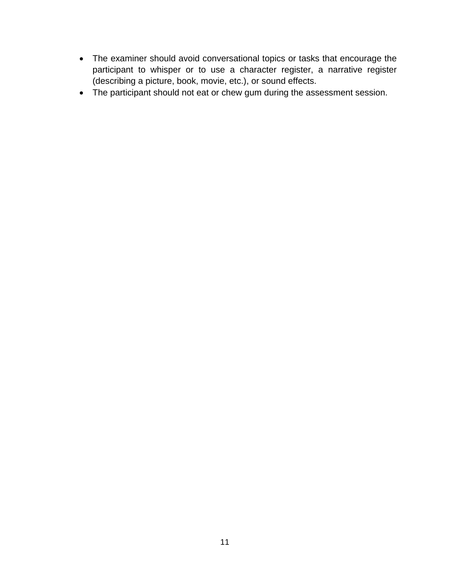- The examiner should avoid conversational topics or tasks that encourage the participant to whisper or to use a character register, a narrative register (describing a picture, book, movie, etc.), or sound effects.
- The participant should not eat or chew gum during the assessment session.